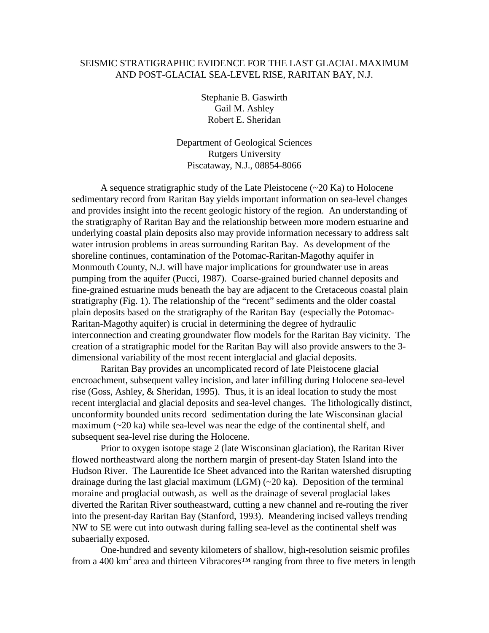## SEISMIC STRATIGRAPHIC EVIDENCE FOR THE LAST GLACIAL MAXIMUM AND POST-GLACIAL SEA-LEVEL RISE, RARITAN BAY, N.J.

Stephanie B. Gaswirth Gail M. Ashley Robert E. Sheridan

Department of Geological Sciences Rutgers University Piscataway, N.J., 08854-8066

A sequence stratigraphic study of the Late Pleistocene (~20 Ka) to Holocene sedimentary record from Raritan Bay yields important information on sea-level changes and provides insight into the recent geologic history of the region. An understanding of the stratigraphy of Raritan Bay and the relationship between more modern estuarine and underlying coastal plain deposits also may provide information necessary to address salt water intrusion problems in areas surrounding Raritan Bay. As development of the shoreline continues, contamination of the Potomac-Raritan-Magothy aquifer in Monmouth County, N.J. will have major implications for groundwater use in areas pumping from the aquifer (Pucci, 1987). Coarse-grained buried channel deposits and fine-grained estuarine muds beneath the bay are adjacent to the Cretaceous coastal plain stratigraphy (Fig. 1). The relationship of the "recent" sediments and the older coastal plain deposits based on the stratigraphy of the Raritan Bay (especially the Potomac-Raritan-Magothy aquifer) is crucial in determining the degree of hydraulic interconnection and creating groundwater flow models for the Raritan Bay vicinity. The creation of a stratigraphic model for the Raritan Bay will also provide answers to the 3 dimensional variability of the most recent interglacial and glacial deposits.

Raritan Bay provides an uncomplicated record of late Pleistocene glacial encroachment, subsequent valley incision, and later infilling during Holocene sea-level rise (Goss, Ashley, & Sheridan, 1995). Thus, it is an ideal location to study the most recent interglacial and glacial deposits and sea-level changes. The lithologically distinct, unconformity bounded units record sedimentation during the late Wisconsinan glacial maximum (~20 ka) while sea-level was near the edge of the continental shelf, and subsequent sea-level rise during the Holocene.

Prior to oxygen isotope stage 2 (late Wisconsinan glaciation), the Raritan River flowed northeastward along the northern margin of present-day Staten Island into the Hudson River. The Laurentide Ice Sheet advanced into the Raritan watershed disrupting drainage during the last glacial maximum (LGM) (~20 ka). Deposition of the terminal moraine and proglacial outwash, as well as the drainage of several proglacial lakes diverted the Raritan River southeastward, cutting a new channel and re-routing the river into the present-day Raritan Bay (Stanford, 1993). Meandering incised valleys trending NW to SE were cut into outwash during falling sea-level as the continental shelf was subaerially exposed.

One-hundred and seventy kilometers of shallow, high-resolution seismic profiles from a 400 km<sup>2</sup> area and thirteen Vibracores<sup>TM</sup> ranging from three to five meters in length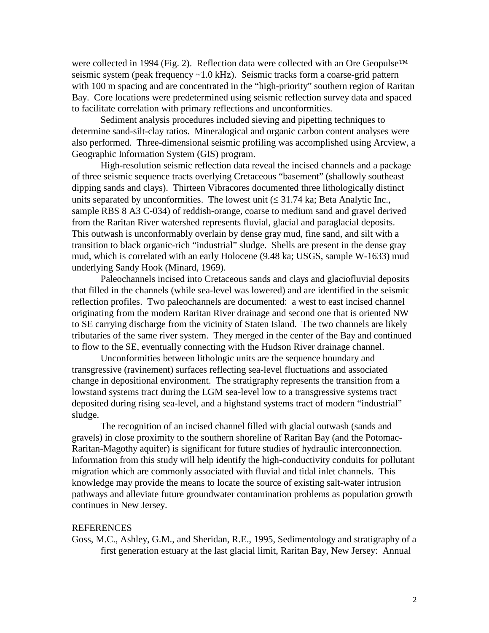were collected in 1994 (Fig. 2). Reflection data were collected with an Ore Geopulse<sup>™</sup> seismic system (peak frequency ~1.0 kHz). Seismic tracks form a coarse-grid pattern with 100 m spacing and are concentrated in the "high-priority" southern region of Raritan Bay. Core locations were predetermined using seismic reflection survey data and spaced to facilitate correlation with primary reflections and unconformities.

Sediment analysis procedures included sieving and pipetting techniques to determine sand-silt-clay ratios. Mineralogical and organic carbon content analyses were also performed. Three-dimensional seismic profiling was accomplished using Arcview, a Geographic Information System (GIS) program.

High-resolution seismic reflection data reveal the incised channels and a package of three seismic sequence tracts overlying Cretaceous "basement" (shallowly southeast dipping sands and clays). Thirteen Vibracores documented three lithologically distinct units separated by unconformities. The lowest unit  $(\leq 31.74 \text{ ka})$ ; Beta Analytic Inc., sample RBS 8 A3 C-034) of reddish-orange, coarse to medium sand and gravel derived from the Raritan River watershed represents fluvial, glacial and paraglacial deposits. This outwash is unconformably overlain by dense gray mud, fine sand, and silt with a transition to black organic-rich "industrial" sludge. Shells are present in the dense gray mud, which is correlated with an early Holocene (9.48 ka; USGS, sample W-1633) mud underlying Sandy Hook (Minard, 1969).

Paleochannels incised into Cretaceous sands and clays and glaciofluvial deposits that filled in the channels (while sea-level was lowered) and are identified in the seismic reflection profiles. Two paleochannels are documented: a west to east incised channel originating from the modern Raritan River drainage and second one that is oriented NW to SE carrying discharge from the vicinity of Staten Island. The two channels are likely tributaries of the same river system. They merged in the center of the Bay and continued to flow to the SE, eventually connecting with the Hudson River drainage channel.

Unconformities between lithologic units are the sequence boundary and transgressive (ravinement) surfaces reflecting sea-level fluctuations and associated change in depositional environment. The stratigraphy represents the transition from a lowstand systems tract during the LGM sea-level low to a transgressive systems tract deposited during rising sea-level, and a highstand systems tract of modern "industrial" sludge.

The recognition of an incised channel filled with glacial outwash (sands and gravels) in close proximity to the southern shoreline of Raritan Bay (and the Potomac-Raritan-Magothy aquifer) is significant for future studies of hydraulic interconnection. Information from this study will help identify the high-conductivity conduits for pollutant migration which are commonly associated with fluvial and tidal inlet channels. This knowledge may provide the means to locate the source of existing salt-water intrusion pathways and alleviate future groundwater contamination problems as population growth continues in New Jersey.

## **REFERENCES**

Goss, M.C., Ashley, G.M., and Sheridan, R.E., 1995, Sedimentology and stratigraphy of a first generation estuary at the last glacial limit, Raritan Bay, New Jersey: Annual